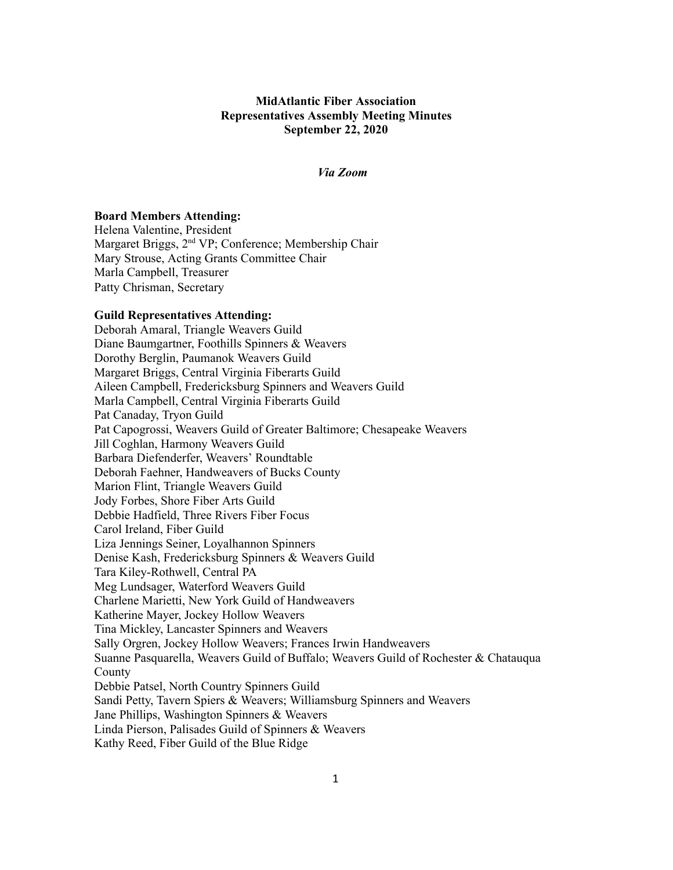# **MidAtlantic Fiber Association Representatives Assembly Meeting Minutes September 22, 2020**

## *Via Zoom*

#### **Board Members Attending:**

Helena Valentine, President Margaret Briggs, 2<sup>nd</sup> VP; Conference; Membership Chair Mary Strouse, Acting Grants Committee Chair Marla Campbell, Treasurer Patty Chrisman, Secretary

#### **Guild Representatives Attending:**

Deborah Amaral, Triangle Weavers Guild Diane Baumgartner, Foothills Spinners & Weavers Dorothy Berglin, Paumanok Weavers Guild Margaret Briggs, Central Virginia Fiberarts Guild Aileen Campbell, Fredericksburg Spinners and Weavers Guild Marla Campbell, Central Virginia Fiberarts Guild Pat Canaday, Tryon Guild Pat Capogrossi, Weavers Guild of Greater Baltimore; Chesapeake Weavers Jill Coghlan, Harmony Weavers Guild Barbara Diefenderfer, Weavers' Roundtable Deborah Faehner, Handweavers of Bucks County Marion Flint, Triangle Weavers Guild Jody Forbes, Shore Fiber Arts Guild Debbie Hadfield, Three Rivers Fiber Focus Carol Ireland, Fiber Guild Liza Jennings Seiner, Loyalhannon Spinners Denise Kash, Fredericksburg Spinners & Weavers Guild Tara Kiley-Rothwell, Central PA Meg Lundsager, Waterford Weavers Guild Charlene Marietti, New York Guild of Handweavers Katherine Mayer, Jockey Hollow Weavers Tina Mickley, Lancaster Spinners and Weavers Sally Orgren, Jockey Hollow Weavers; Frances Irwin Handweavers Suanne Pasquarella, Weavers Guild of Buffalo; Weavers Guild of Rochester & Chatauqua County Debbie Patsel, North Country Spinners Guild Sandi Petty, Tavern Spiers & Weavers; Williamsburg Spinners and Weavers Jane Phillips, Washington Spinners & Weavers Linda Pierson, Palisades Guild of Spinners & Weavers Kathy Reed, Fiber Guild of the Blue Ridge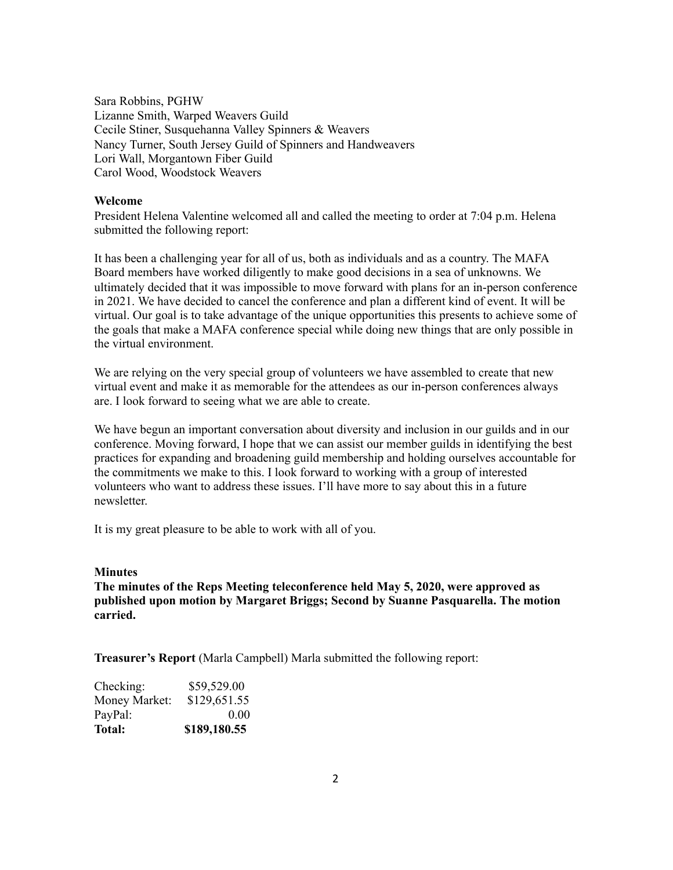Sara Robbins, PGHW Lizanne Smith, Warped Weavers Guild Cecile Stiner, Susquehanna Valley Spinners & Weavers Nancy Turner, South Jersey Guild of Spinners and Handweavers Lori Wall, Morgantown Fiber Guild Carol Wood, Woodstock Weavers

#### **Welcome**

President Helena Valentine welcomed all and called the meeting to order at 7:04 p.m. Helena submitted the following report:

It has been a challenging year for all of us, both as individuals and as a country. The MAFA Board members have worked diligently to make good decisions in a sea of unknowns. We ultimately decided that it was impossible to move forward with plans for an in-person conference in 2021. We have decided to cancel the conference and plan a different kind of event. It will be virtual. Our goal is to take advantage of the unique opportunities this presents to achieve some of the goals that make a MAFA conference special while doing new things that are only possible in the virtual environment.

We are relying on the very special group of volunteers we have assembled to create that new virtual event and make it as memorable for the attendees as our in-person conferences always are. I look forward to seeing what we are able to create.

We have begun an important conversation about diversity and inclusion in our guilds and in our conference. Moving forward, I hope that we can assist our member guilds in identifying the best practices for expanding and broadening guild membership and holding ourselves accountable for the commitments we make to this. I look forward to working with a group of interested volunteers who want to address these issues. I'll have more to say about this in a future newsletter.

It is my great pleasure to be able to work with all of you.

### **Minutes**

**The minutes of the Reps Meeting teleconference held May 5, 2020, were approved as published upon motion by Margaret Briggs; Second by Suanne Pasquarella. The motion carried.** 

**Treasurer's Report** (Marla Campbell) Marla submitted the following report:

| Checking:     | \$59,529.00  |
|---------------|--------------|
| Money Market: | \$129,651.55 |
| PayPal:       | 0.00         |
| <b>Total:</b> | \$189,180.55 |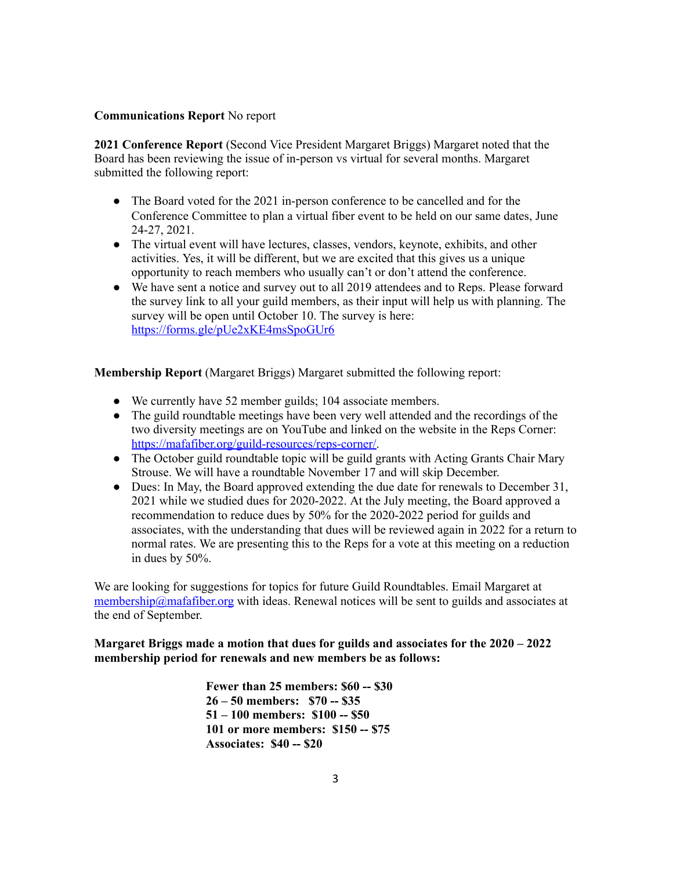## **Communications Report** No report

**2021 Conference Report** (Second Vice President Margaret Briggs) Margaret noted that the Board has been reviewing the issue of in-person vs virtual for several months. Margaret submitted the following report:

- The Board voted for the 2021 in-person conference to be cancelled and for the Conference Committee to plan a virtual fiber event to be held on our same dates, June 24-27, 2021.
- The virtual event will have lectures, classes, vendors, keynote, exhibits, and other activities. Yes, it will be different, but we are excited that this gives us a unique opportunity to reach members who usually can't or don't attend the conference.
- We have sent a notice and survey out to all 2019 attendees and to Reps. Please forward the survey link to all your guild members, as their input will help us with planning. The survey will be open until October 10. The survey is here: <https://forms.gle/pUe2xKE4msSpoGUr6>

**Membership Report** (Margaret Briggs) Margaret submitted the following report:

- We currently have 52 member guilds; 104 associate members.
- The guild roundtable meetings have been very well attended and the recordings of the two diversity meetings are on YouTube and linked on the website in the Reps Corner: [https://mafafiber.org/guild-resources/reps-corner/ .](https://mafafiber.org/guild-resources/reps-corner/)
- The October guild roundtable topic will be guild grants with Acting Grants Chair Mary Strouse. We will have a roundtable November 17 and will skip December.
- Dues: In May, the Board approved extending the due date for renewals to December 31, 2021 while we studied dues for 2020-2022. At the July meeting, the Board approved a recommendation to reduce dues by 50% for the 2020-2022 period for guilds and associates, with the understanding that dues will be reviewed again in 2022 for a return to normal rates. We are presenting this to the Reps for a vote at this meeting on a reduction in dues by 50%.

We are looking for suggestions for topics for future Guild Roundtables. Email Margaret at [membership@mafafiber.org](mailto:membership@mafafiber.org) with ideas. Renewal notices will be sent to guilds and associates at the end of September.

## **Margaret Briggs made a motion that dues for guilds and associates for the 2020 – 2022 membership period for renewals and new members be as follows:**

**Fewer than 25 members: \$60 -- \$30 26 – 50 members: \$70 -- \$35 51 – 100 members: \$100 -- \$50 101 or more members: \$150 -- \$75 Associates: \$40 -- \$20**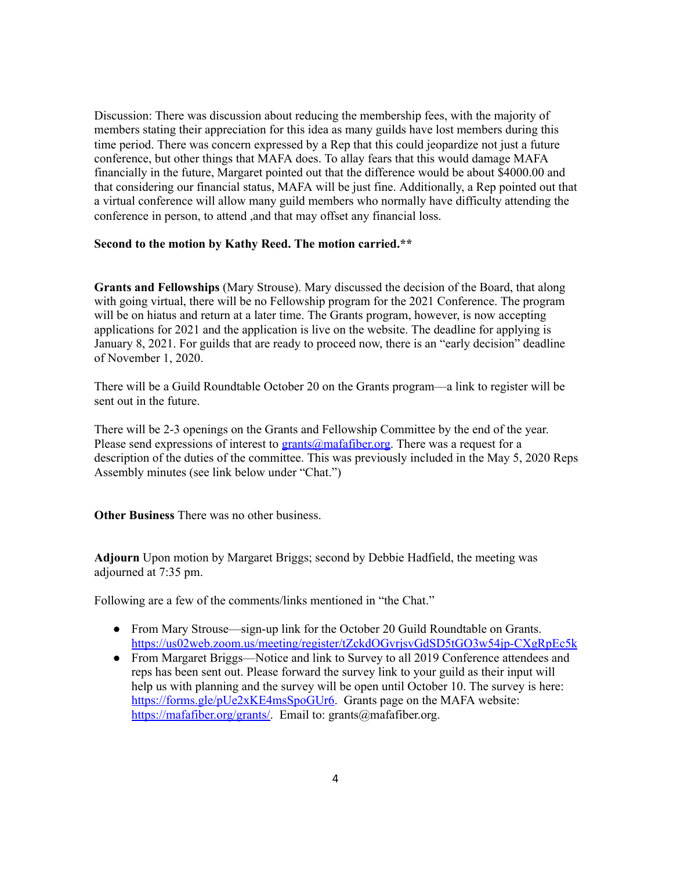Discussion: There was discussion about reducing the membership fees, with the majority of members stating their appreciation for this idea as many guilds have lost members during this time period. There was concern expressed by a Rep that this could jeopardize not just a future conference, but other things that MAFA does. To allay fears that this would damage MAFA financially in the future, Margaret pointed out that the difference would be about \$4000.00 and that considering our financial status, MAFA will be just fine. Additionally, a Rep pointed out that a virtual conference will allow many guild members who normally have difficulty attending the conference in person, to attend ,and that may offset any financial loss.

## **Second to the motion by Kathy Reed. The motion carried.\*\***

**Grants and Fellowships** (Mary Strouse). Mary discussed the decision of the Board, that along with going virtual, there will be no Fellowship program for the 2021 Conference. The program will be on hiatus and return at a later time. The Grants program, however, is now accepting applications for 2021 and the application is live on the website. The deadline for applying is January 8, 2021. For guilds that are ready to proceed now, there is an "early decision" deadline of November 1, 2020.

There will be a Guild Roundtable October 20 on the Grants program—a link to register will be sent out in the future.

There will be 2-3 openings on the Grants and Fellowship Committee by the end of the year. Please send expressions of interest to  $grants@mafafiber.org$ . There was a request for a description of the duties of the committee. This was previously included in the May 5, 2020 Reps Assembly minutes (see link below under "Chat.")

**Other Business** There was no other business.

**Adjourn** Upon motion by Margaret Briggs; second by Debbie Hadfield, the meeting was adjourned at 7:35 pm.

Following are a few of the comments/links mentioned in "the Chat."

- From Mary Strouse—sign-up link for the October 20 Guild Roundtable on Grants. <https://us02web.zoom.us/meeting/register/tZckdOGvrjsvGdSD5tGO3w54jp-CXgRpEc5k>
- From Margaret Briggs—Notice and link to Survey to all 2019 Conference attendees and reps has been sent out. Please forward the survey link to your guild as their input will help us with planning and the survey will be open until October 10. The survey is here: https://forms.gle/pUe2xKE4msSpoGUr6. Grants page on the MAFA website: https://mafafiber.org/grants/. Email to: grants@mafafiber.org.